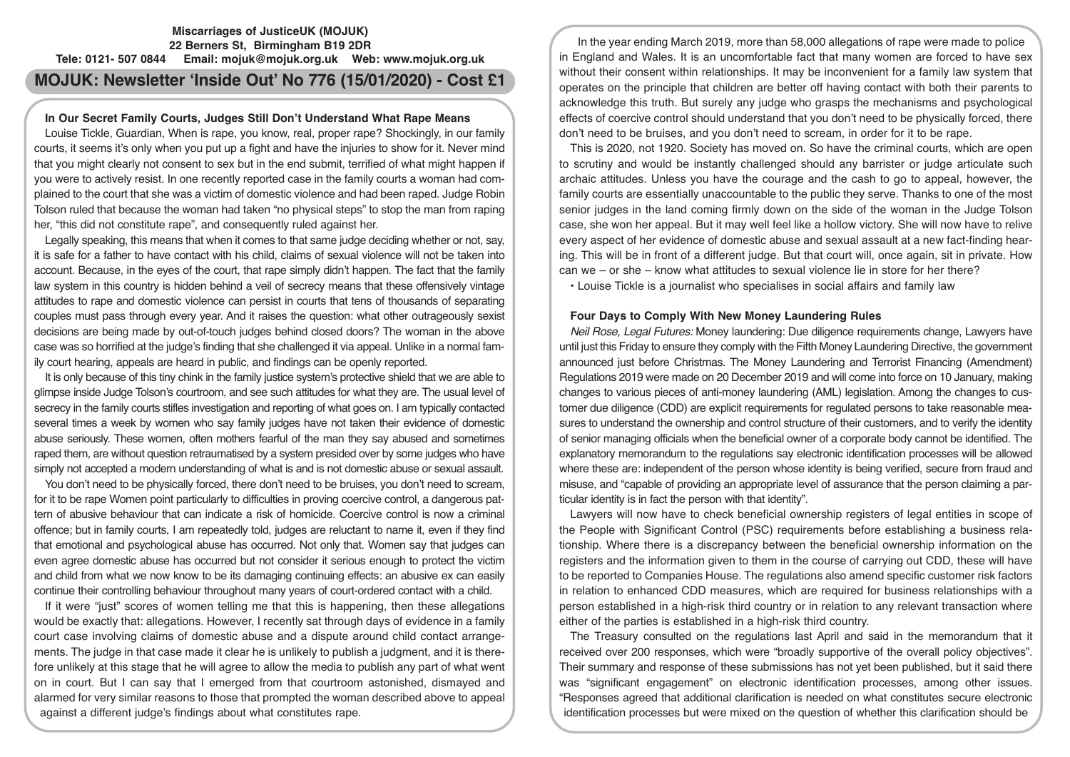# **Miscarriages of JusticeUK (MOJUK) 22 Berners St, Birmingham B19 2DR Tele: 0121- 507 0844 Email: mojuk@mojuk.org.uk Web: www.mojuk.org.uk**

# **MOJUK: Newsletter 'Inside Out' No 776 (15/01/2020) - Cost £1**

# **In Our Secret Family Courts, Judges Still Don't Understand What Rape Means**

Louise Tickle, Guardian, When is rape, you know, real, proper rape? Shockingly, in our family courts, it seems it's only when you put up a fight and have the injuries to show for it. Never mind that you might clearly not consent to sex but in the end submit, terrified of what might happen if you were to actively resist. In one recently reported case in the family courts a woman had complained to the court that she was a victim of domestic violence and had been raped. Judge Robin Tolson ruled that because the woman had taken "no physical steps" to stop the man from raping her, "this did not constitute rape", and consequently ruled against her.

Legally speaking, this means that when it comes to that same judge deciding whether or not, say, it is safe for a father to have contact with his child, claims of sexual violence will not be taken into account. Because, in the eyes of the court, that rape simply didn't happen. The fact that the family law system in this country is hidden behind a veil of secrecy means that these offensively vintage attitudes to rape and domestic violence can persist in courts that tens of thousands of separating couples must pass through every year. And it raises the question: what other outrageously sexist decisions are being made by out-of-touch judges behind closed doors? The woman in the above case was so horrified at the judge's finding that she challenged it via appeal. Unlike in a normal family court hearing, appeals are heard in public, and findings can be openly reported.

It is only because of this tiny chink in the family justice system's protective shield that we are able to glimpse inside Judge Tolson's courtroom, and see such attitudes for what they are. The usual level of secrecy in the family courts stifles investigation and reporting of what goes on. I am typically contacted several times a week by women who say family judges have not taken their evidence of domestic abuse seriously. These women, often mothers fearful of the man they say abused and sometimes raped them, are without question retraumatised by a system presided over by some judges who have simply not accepted a modern understanding of what is and is not domestic abuse or sexual assault.

You don't need to be physically forced, there don't need to be bruises, you don't need to scream, for it to be rape Women point particularly to difficulties in proving coercive control, a dangerous pattern of abusive behaviour that can indicate a risk of homicide. Coercive control is now a criminal offence; but in family courts, I am repeatedly told, judges are reluctant to name it, even if they find that emotional and psychological abuse has occurred. Not only that. Women say that judges can even agree domestic abuse has occurred but not consider it serious enough to protect the victim and child from what we now know to be its damaging continuing effects: an abusive ex can easily continue their controlling behaviour throughout many years of court-ordered contact with a child.

If it were "just" scores of women telling me that this is happening, then these allegations would be exactly that: allegations. However, I recently sat through days of evidence in a family court case involving claims of domestic abuse and a dispute around child contact arrangements. The judge in that case made it clear he is unlikely to publish a judgment, and it is therefore unlikely at this stage that he will agree to allow the media to publish any part of what went on in court. But I can say that I emerged from that courtroom astonished, dismayed and alarmed for very similar reasons to those that prompted the woman described above to appeal against a different judge's findings about what constitutes rape.

In the year ending March 2019, more than 58,000 allegations of rape were made to police in England and Wales. It is an uncomfortable fact that many women are forced to have sex without their consent within relationships. It may be inconvenient for a family law system that operates on the principle that children are better off having contact with both their parents to acknowledge this truth. But surely any judge who grasps the mechanisms and psychological effects of coercive control should understand that you don't need to be physically forced, there don't need to be bruises, and you don't need to scream, in order for it to be rape.

This is 2020, not 1920. Society has moved on. So have the criminal courts, which are open to scrutiny and would be instantly challenged should any barrister or judge articulate such archaic attitudes. Unless you have the courage and the cash to go to appeal, however, the family courts are essentially unaccountable to the public they serve. Thanks to one of the most senior judges in the land coming firmly down on the side of the woman in the Judge Tolson case, she won her appeal. But it may well feel like a hollow victory. She will now have to relive every aspect of her evidence of domestic abuse and sexual assault at a new fact-finding hearing. This will be in front of a different judge. But that court will, once again, sit in private. How can we – or she – know what attitudes to sexual violence lie in store for her there?

• Louise Tickle is a journalist who specialises in social affairs and family law

## **Four Days to Comply With New Money Laundering Rules**

Neil Rose, Legal Futures: Money laundering: Due diligence requirements change, Lawyers have until just this Friday to ensure they comply with the Fifth Money Laundering Directive, the government announced just before Christmas. The Money Laundering and Terrorist Financing (Amendment) Regulations 2019 were made on 20 December 2019 and will come into force on 10 January, making changes to various pieces of anti-money laundering (AML) legislation. Among the changes to customer due diligence (CDD) are explicit requirements for regulated persons to take reasonable measures to understand the ownership and control structure of their customers, and to verify the identity of senior managing officials when the beneficial owner of a corporate body cannot be identified. The explanatory memorandum to the regulations say electronic identification processes will be allowed where these are: independent of the person whose identity is being verified, secure from fraud and misuse, and "capable of providing an appropriate level of assurance that the person claiming a particular identity is in fact the person with that identity".

Lawyers will now have to check beneficial ownership registers of legal entities in scope of the People with Significant Control (PSC) requirements before establishing a business relationship. Where there is a discrepancy between the beneficial ownership information on the registers and the information given to them in the course of carrying out CDD, these will have to be reported to Companies House. The regulations also amend specific customer risk factors in relation to enhanced CDD measures, which are required for business relationships with a person established in a high-risk third country or in relation to any relevant transaction where either of the parties is established in a high-risk third country.

The Treasury consulted on the regulations last April and said in the memorandum that it received over 200 responses, which were "broadly supportive of the overall policy objectives". Their summary and response of these submissions has not yet been published, but it said there was "significant engagement" on electronic identification processes, among other issues. "Responses agreed that additional clarification is needed on what constitutes secure electronic identification processes but were mixed on the question of whether this clarification should be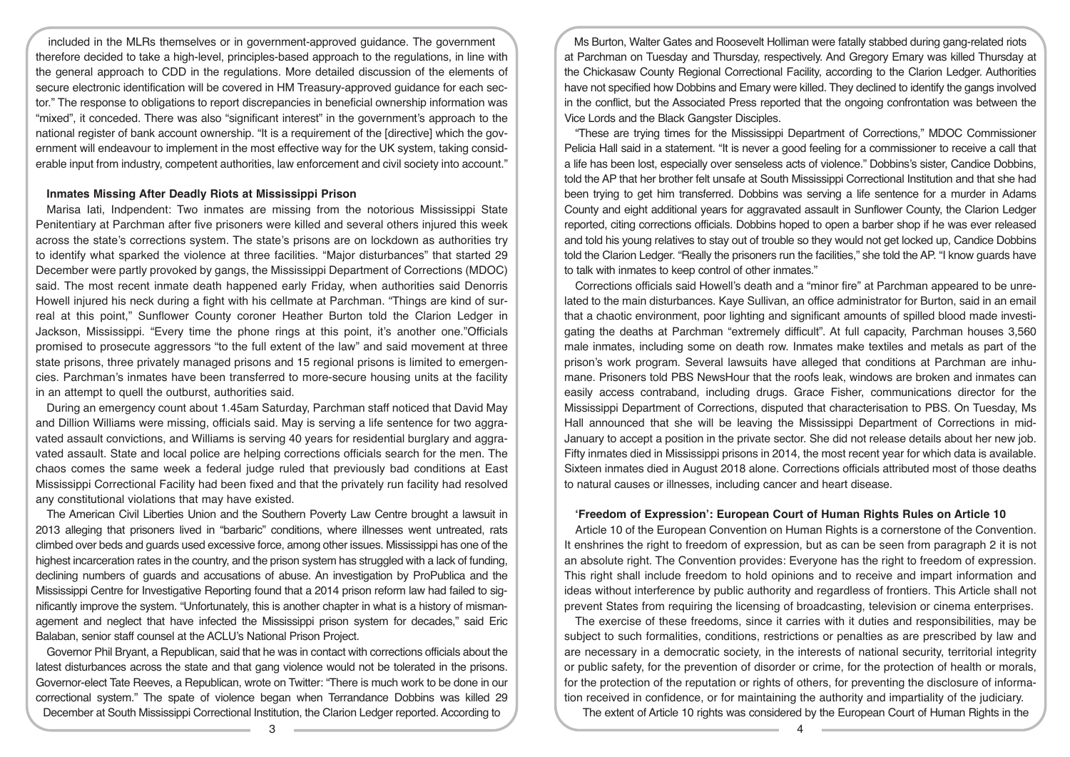included in the MLRs themselves or in government-approved guidance. The government therefore decided to take a high-level, principles-based approach to the regulations, in line with the general approach to CDD in the regulations. More detailed discussion of the elements of secure electronic identification will be covered in HM Treasury-approved guidance for each sector." The response to obligations to report discrepancies in beneficial ownership information was "mixed", it conceded. There was also "significant interest" in the government's approach to the national register of bank account ownership. "It is a requirement of the [directive] which the government will endeavour to implement in the most effective way for the UK system, taking considerable input from industry, competent authorities, law enforcement and civil society into account."

#### **Inmates Missing After Deadly Riots at Mississippi Prison**

Marisa Iati, Indpendent: Two inmates are missing from the notorious Mississippi State Penitentiary at Parchman after five prisoners were killed and several others injured this week across the state's corrections system. The state's prisons are on lockdown as authorities try to identify what sparked the violence at three facilities. "Major disturbances" that started 29 December were partly provoked by gangs, the Mississippi Department of Corrections (MDOC) said. The most recent inmate death happened early Friday, when authorities said Denorris Howell injured his neck during a fight with his cellmate at Parchman. "Things are kind of surreal at this point," Sunflower County coroner Heather Burton told the Clarion Ledger in Jackson, Mississippi. "Every time the phone rings at this point, it's another one."Officials promised to prosecute aggressors "to the full extent of the law" and said movement at three state prisons, three privately managed prisons and 15 regional prisons is limited to emergencies. Parchman's inmates have been transferred to more-secure housing units at the facility in an attempt to quell the outburst, authorities said.

During an emergency count about 1.45am Saturday, Parchman staff noticed that David May and Dillion Williams were missing, officials said. May is serving a life sentence for two aggravated assault convictions, and Williams is serving 40 years for residential burglary and aggravated assault. State and local police are helping corrections officials search for the men. The chaos comes the same week a federal judge ruled that previously bad conditions at East Mississippi Correctional Facility had been fixed and that the privately run facility had resolved any constitutional violations that may have existed.

The American Civil Liberties Union and the Southern Poverty Law Centre brought a lawsuit in 2013 alleging that prisoners lived in "barbaric" conditions, where illnesses went untreated, rats climbed over beds and guards used excessive force, among other issues. Mississippi has one of the highest incarceration rates in the country, and the prison system has struggled with a lack of funding, declining numbers of guards and accusations of abuse. An investigation by ProPublica and the Mississippi Centre for Investigative Reporting found that a 2014 prison reform law had failed to significantly improve the system. "Unfortunately, this is another chapter in what is a history of mismanagement and neglect that have infected the Mississippi prison system for decades," said Eric Balaban, senior staff counsel at the ACLU's National Prison Project.

Governor Phil Bryant, a Republican, said that he was in contact with corrections officials about the latest disturbances across the state and that gang violence would not be tolerated in the prisons. Governor-elect Tate Reeves, a Republican, wrote on Twitter: "There is much work to be done in our correctional system." The spate of violence began when Terrandance Dobbins was killed 29 December at South Mississippi Correctional Institution, the Clarion Ledger reported. According to

Ms Burton, Walter Gates and Roosevelt Holliman were fatally stabbed during gang-related riots at Parchman on Tuesday and Thursday, respectively. And Gregory Emary was killed Thursday at the Chickasaw County Regional Correctional Facility, according to the Clarion Ledger. Authorities have not specified how Dobbins and Emary were killed. They declined to identify the gangs involved in the conflict, but the Associated Press reported that the ongoing confrontation was between the Vice Lords and the Black Gangster Disciples.

"These are trying times for the Mississippi Department of Corrections," MDOC Commissioner Pelicia Hall said in a statement. "It is never a good feeling for a commissioner to receive a call that a life has been lost, especially over senseless acts of violence." Dobbins's sister, Candice Dobbins, told the AP that her brother felt unsafe at South Mississippi Correctional Institution and that she had been trying to get him transferred. Dobbins was serving a life sentence for a murder in Adams County and eight additional years for aggravated assault in Sunflower County, the Clarion Ledger reported, citing corrections officials. Dobbins hoped to open a barber shop if he was ever released and told his young relatives to stay out of trouble so they would not get locked up, Candice Dobbins told the Clarion Ledger. "Really the prisoners run the facilities," she told the AP. "I know guards have to talk with inmates to keep control of other inmates."

Corrections officials said Howell's death and a "minor fire" at Parchman appeared to be unrelated to the main disturbances. Kaye Sullivan, an office administrator for Burton, said in an email that a chaotic environment, poor lighting and significant amounts of spilled blood made investigating the deaths at Parchman "extremely difficult". At full capacity, Parchman houses 3,560 male inmates, including some on death row. Inmates make textiles and metals as part of the prison's work program. Several lawsuits have alleged that conditions at Parchman are inhumane. Prisoners told PBS NewsHour that the roofs leak, windows are broken and inmates can easily access contraband, including drugs. Grace Fisher, communications director for the Mississippi Department of Corrections, disputed that characterisation to PBS. On Tuesday, Ms Hall announced that she will be leaving the Mississippi Department of Corrections in mid-January to accept a position in the private sector. She did not release details about her new job. Fifty inmates died in Mississippi prisons in 2014, the most recent year for which data is available. Sixteen inmates died in August 2018 alone. Corrections officials attributed most of those deaths to natural causes or illnesses, including cancer and heart disease.

#### **'Freedom of Expression': European Court of Human Rights Rules on Article 10**

Article 10 of the European Convention on Human Rights is a cornerstone of the Convention. It enshrines the right to freedom of expression, but as can be seen from paragraph 2 it is not an absolute right. The Convention provides: Everyone has the right to freedom of expression. This right shall include freedom to hold opinions and to receive and impart information and ideas without interference by public authority and regardless of frontiers. This Article shall not prevent States from requiring the licensing of broadcasting, television or cinema enterprises.

The exercise of these freedoms, since it carries with it duties and responsibilities, may be subject to such formalities, conditions, restrictions or penalties as are prescribed by law and are necessary in a democratic society, in the interests of national security, territorial integrity or public safety, for the prevention of disorder or crime, for the protection of health or morals, for the protection of the reputation or rights of others, for preventing the disclosure of information received in confidence, or for maintaining the authority and impartiality of the judiciary.

The extent of Article 10 rights was considered by the European Court of Human Rights in the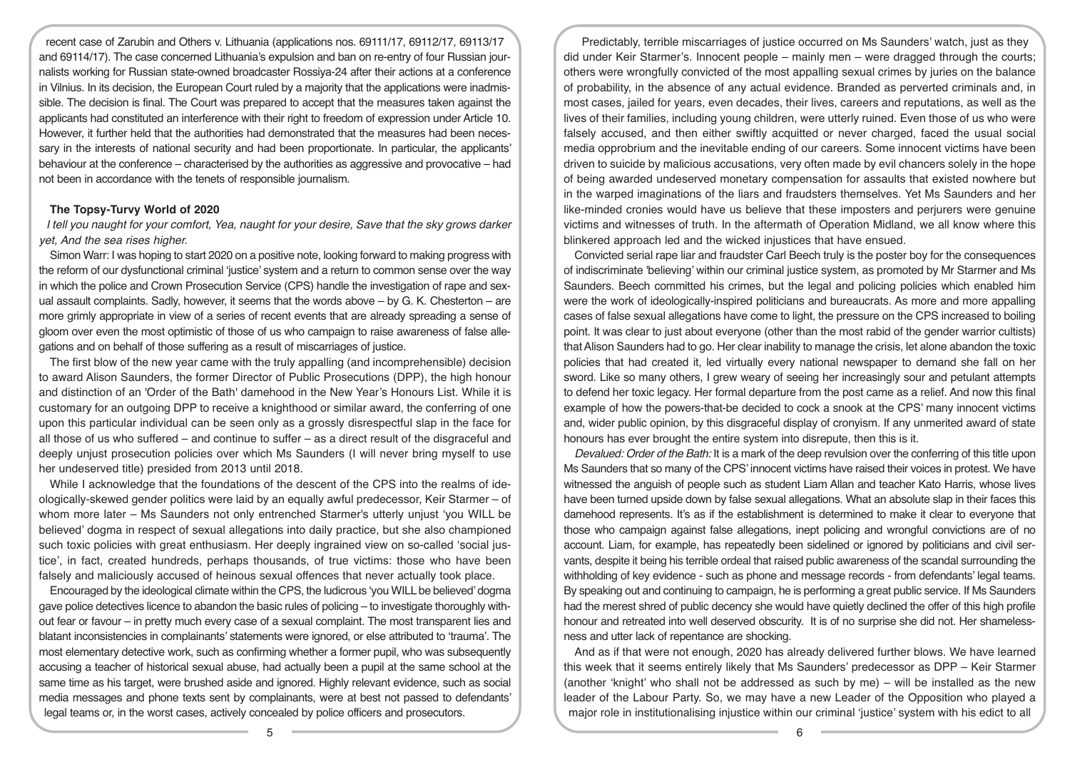recent case of Zarubin and Others v. Lithuania (applications nos. 69111/17, 69112/17, 69113/17 and 69114/17). The case concerned Lithuania's expulsion and ban on re-entry of four Russian journalists working for Russian state-owned broadcaster Rossiya-24 after their actions at a conference in Vilnius. In its decision, the European Court ruled by a majority that the applications were inadmissible. The decision is final. The Court was prepared to accept that the measures taken against the applicants had constituted an interference with their right to freedom of expression under Article 10. However, it further held that the authorities had demonstrated that the measures had been necessary in the interests of national security and had been proportionate. In particular, the applicants' behaviour at the conference – characterised by the authorities as aggressive and provocative – had not been in accordance with the tenets of responsible journalism.

#### **The Topsy-Turvy World of 2020**

I tell you naught for your comfort, Yea, naught for your desire, Save that the sky grows darker yet, And the sea rises higher.

Simon Warr: I was hoping to start 2020 on a positive note, looking forward to making progress with the reform of our dysfunctional criminal 'justice' system and a return to common sense over the way in which the police and Crown Prosecution Service (CPS) handle the investigation of rape and sexual assault complaints. Sadly, however, it seems that the words above – by G. K. Chesterton – are more grimly appropriate in view of a series of recent events that are already spreading a sense of gloom over even the most optimistic of those of us who campaign to raise awareness of false allegations and on behalf of those suffering as a result of miscarriages of justice.

The first blow of the new year came with the truly appalling (and incomprehensible) decision to award Alison Saunders, the former Director of Public Prosecutions (DPP), the high honour and distinction of an 'Order of the Bath' damehood in the New Year's Honours List. While it is customary for an outgoing DPP to receive a knighthood or similar award, the conferring of one upon this particular individual can be seen only as a grossly disrespectful slap in the face for all those of us who suffered – and continue to suffer – as a direct result of the disgraceful and deeply unjust prosecution policies over which Ms Saunders (I will never bring myself to use her undeserved title) presided from 2013 until 2018.

While I acknowledge that the foundations of the descent of the CPS into the realms of ideologically-skewed gender politics were laid by an equally awful predecessor, Keir Starmer – of whom more later – Ms Saunders not only entrenched Starmer's utterly unjust 'you WILL be believed' dogma in respect of sexual allegations into daily practice, but she also championed such toxic policies with great enthusiasm. Her deeply ingrained view on so-called 'social justice', in fact, created hundreds, perhaps thousands, of true victims: those who have been falsely and maliciously accused of heinous sexual offences that never actually took place.

Encouraged by the ideological climate within the CPS, the ludicrous 'you WILL be believed' dogma gave police detectives licence to abandon the basic rules of policing – to investigate thoroughly without fear or favour – in pretty much every case of a sexual complaint. The most transparent lies and blatant inconsistencies in complainants' statements were ignored, or else attributed to 'trauma'. The most elementary detective work, such as confirming whether a former pupil, who was subsequently accusing a teacher of historical sexual abuse, had actually been a pupil at the same school at the same time as his target, were brushed aside and ignored. Highly relevant evidence, such as social media messages and phone texts sent by complainants, were at best not passed to defendants' legal teams or, in the worst cases, actively concealed by police officers and prosecutors.

Predictably, terrible miscarriages of justice occurred on Ms Saunders' watch, just as they did under Keir Starmer's. Innocent people – mainly men – were dragged through the courts; others were wrongfully convicted of the most appalling sexual crimes by juries on the balance of probability, in the absence of any actual evidence. Branded as perverted criminals and, in most cases, jailed for years, even decades, their lives, careers and reputations, as well as the lives of their families, including young children, were utterly ruined. Even those of us who were falsely accused, and then either swiftly acquitted or never charged, faced the usual social media opprobrium and the inevitable ending of our careers. Some innocent victims have been driven to suicide by malicious accusations, very often made by evil chancers solely in the hope of being awarded undeserved monetary compensation for assaults that existed nowhere but in the warped imaginations of the liars and fraudsters themselves. Yet Ms Saunders and her like-minded cronies would have us believe that these imposters and perjurers were genuine victims and witnesses of truth. In the aftermath of Operation Midland, we all know where this blinkered approach led and the wicked injustices that have ensued.

Convicted serial rape liar and fraudster Carl Beech truly is the poster boy for the consequences of indiscriminate 'believing' within our criminal justice system, as promoted by Mr Starmer and Ms Saunders. Beech committed his crimes, but the legal and policing policies which enabled him were the work of ideologically-inspired politicians and bureaucrats. As more and more appalling cases of false sexual allegations have come to light, the pressure on the CPS increased to boiling point. It was clear to just about everyone (other than the most rabid of the gender warrior cultists) that Alison Saunders had to go. Her clear inability to manage the crisis, let alone abandon the toxic policies that had created it, led virtually every national newspaper to demand she fall on her sword. Like so many others, I grew weary of seeing her increasingly sour and petulant attempts to defend her toxic legacy. Her formal departure from the post came as a relief. And now this final example of how the powers-that-be decided to cock a snook at the CPS' many innocent victims and, wider public opinion, by this disgraceful display of cronyism. If any unmerited award of state honours has ever brought the entire system into disrepute, then this is it.

Devalued: Order of the Bath: It is a mark of the deep revulsion over the conferring of this title upon Ms Saunders that so many of the CPS' innocent victims have raised their voices in protest. We have witnessed the anguish of people such as student Liam Allan and teacher Kato Harris, whose lives have been turned upside down by false sexual allegations. What an absolute slap in their faces this damehood represents. It's as if the establishment is determined to make it clear to everyone that those who campaign against false allegations, inept policing and wrongful convictions are of no account. Liam, for example, has repeatedly been sidelined or ignored by politicians and civil servants, despite it being his terrible ordeal that raised public awareness of the scandal surrounding the withholding of key evidence - such as phone and message records - from defendants' legal teams. By speaking out and continuing to campaign, he is performing a great public service. If Ms Saunders had the merest shred of public decency she would have quietly declined the offer of this high profile honour and retreated into well deserved obscurity. It is of no surprise she did not. Her shamelessness and utter lack of repentance are shocking.

And as if that were not enough, 2020 has already delivered further blows. We have learned this week that it seems entirely likely that Ms Saunders' predecessor as DPP – Keir Starmer (another 'knight' who shall not be addressed as such by me) – will be installed as the new leader of the Labour Party. So, we may have a new Leader of the Opposition who played a major role in institutionalising injustice within our criminal 'justice' system with his edict to all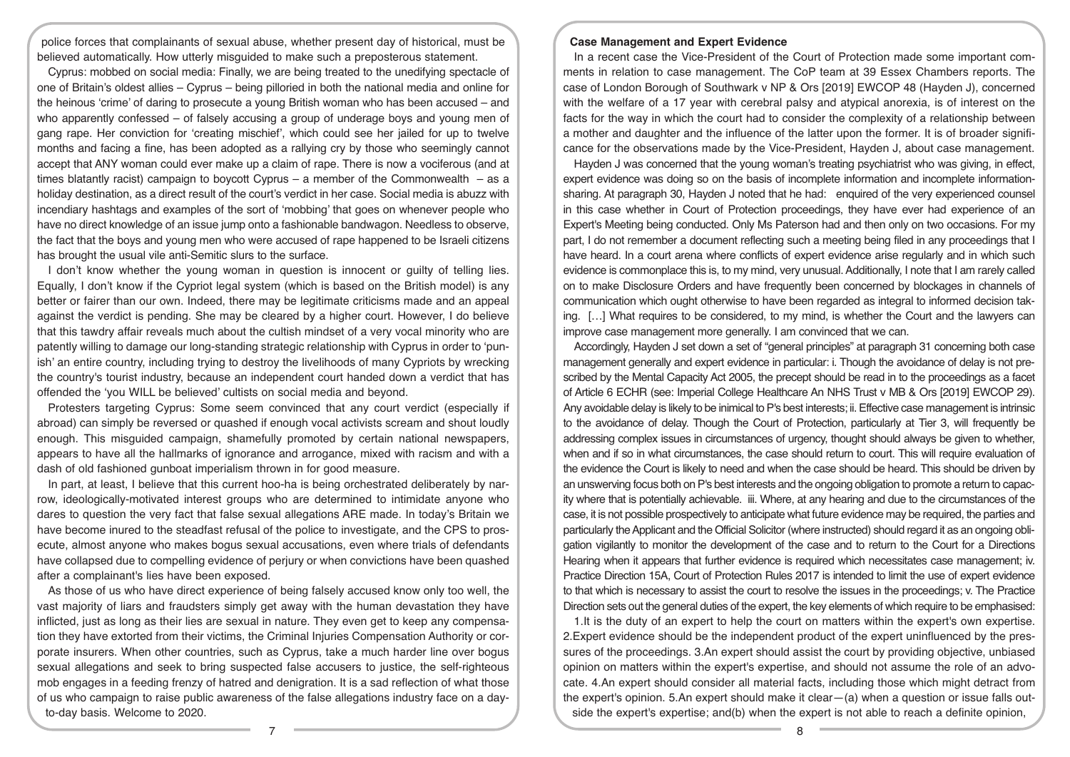police forces that complainants of sexual abuse, whether present day of historical, must be believed automatically. How utterly misguided to make such a preposterous statement.

Cyprus: mobbed on social media: Finally, we are being treated to the unedifying spectacle of one of Britain's oldest allies – Cyprus – being pilloried in both the national media and online for the heinous 'crime' of daring to prosecute a young British woman who has been accused – and who apparently confessed – of falsely accusing a group of underage boys and young men of gang rape. Her conviction for 'creating mischief', which could see her jailed for up to twelve months and facing a fine, has been adopted as a rallying cry by those who seemingly cannot accept that ANY woman could ever make up a claim of rape. There is now a vociferous (and at times blatantly racist) campaign to boycott Cyprus – a member of the Commonwealth – as a holiday destination, as a direct result of the court's verdict in her case. Social media is abuzz with incendiary hashtags and examples of the sort of 'mobbing' that goes on whenever people who have no direct knowledge of an issue jump onto a fashionable bandwagon. Needless to observe, the fact that the boys and young men who were accused of rape happened to be Israeli citizens has brought the usual vile anti-Semitic slurs to the surface.

I don't know whether the young woman in question is innocent or guilty of telling lies. Equally, I don't know if the Cypriot legal system (which is based on the British model) is any better or fairer than our own. Indeed, there may be legitimate criticisms made and an appeal against the verdict is pending. She may be cleared by a higher court. However, I do believe that this tawdry affair reveals much about the cultish mindset of a very vocal minority who are patently willing to damage our long-standing strategic relationship with Cyprus in order to 'punish' an entire country, including trying to destroy the livelihoods of many Cypriots by wrecking the country's tourist industry, because an independent court handed down a verdict that has offended the 'you WILL be believed' cultists on social media and beyond.

Protesters targeting Cyprus: Some seem convinced that any court verdict (especially if abroad) can simply be reversed or quashed if enough vocal activists scream and shout loudly enough. This misguided campaign, shamefully promoted by certain national newspapers, appears to have all the hallmarks of ignorance and arrogance, mixed with racism and with a dash of old fashioned gunboat imperialism thrown in for good measure.

In part, at least, I believe that this current hoo-ha is being orchestrated deliberately by narrow, ideologically-motivated interest groups who are determined to intimidate anyone who dares to question the very fact that false sexual allegations ARE made. In today's Britain we have become inured to the steadfast refusal of the police to investigate, and the CPS to prosecute, almost anyone who makes bogus sexual accusations, even where trials of defendants have collapsed due to compelling evidence of perjury or when convictions have been quashed after a complainant's lies have been exposed.

As those of us who have direct experience of being falsely accused know only too well, the vast majority of liars and fraudsters simply get away with the human devastation they have inflicted, just as long as their lies are sexual in nature. They even get to keep any compensation they have extorted from their victims, the Criminal Injuries Compensation Authority or corporate insurers. When other countries, such as Cyprus, take a much harder line over bogus sexual allegations and seek to bring suspected false accusers to justice, the self-righteous mob engages in a feeding frenzy of hatred and denigration. It is a sad reflection of what those of us who campaign to raise public awareness of the false allegations industry face on a dayto-day basis. Welcome to 2020.

#### **Case Management and Expert Evidence**

In a recent case the Vice-President of the Court of Protection made some important comments in relation to case management. The CoP team at 39 Essex Chambers reports. The case of London Borough of Southwark v NP & Ors [2019] EWCOP 48 (Hayden J), concerned with the welfare of a 17 year with cerebral palsy and atypical anorexia, is of interest on the facts for the way in which the court had to consider the complexity of a relationship between a mother and daughter and the influence of the latter upon the former. It is of broader significance for the observations made by the Vice-President, Hayden J, about case management.

Hayden J was concerned that the young woman's treating psychiatrist who was giving, in effect, expert evidence was doing so on the basis of incomplete information and incomplete informationsharing. At paragraph 30, Hayden J noted that he had: enquired of the very experienced counsel in this case whether in Court of Protection proceedings, they have ever had experience of an Expert's Meeting being conducted. Only Ms Paterson had and then only on two occasions. For my part, I do not remember a document reflecting such a meeting being filed in any proceedings that I have heard. In a court arena where conflicts of expert evidence arise regularly and in which such evidence is commonplace this is, to my mind, very unusual. Additionally, I note that I am rarely called on to make Disclosure Orders and have frequently been concerned by blockages in channels of communication which ought otherwise to have been regarded as integral to informed decision taking. […] What requires to be considered, to my mind, is whether the Court and the lawyers can improve case management more generally. I am convinced that we can.

Accordingly, Hayden J set down a set of "general principles" at paragraph 31 concerning both case management generally and expert evidence in particular: i. Though the avoidance of delay is not prescribed by the Mental Capacity Act 2005, the precept should be read in to the proceedings as a facet of Article 6 ECHR (see: Imperial College Healthcare An NHS Trust v MB & Ors [2019] EWCOP 29). Any avoidable delay is likely to be inimical to P's best interests; ii. Effective case management is intrinsic to the avoidance of delay. Though the Court of Protection, particularly at Tier 3, will frequently be addressing complex issues in circumstances of urgency, thought should always be given to whether, when and if so in what circumstances, the case should return to court. This will require evaluation of the evidence the Court is likely to need and when the case should be heard. This should be driven by an unswerving focus both on P's best interests and the ongoing obligation to promote a return to capacity where that is potentially achievable. iii. Where, at any hearing and due to the circumstances of the case, it is not possible prospectively to anticipate what future evidence may be required, the parties and particularly the Applicant and the Official Solicitor (where instructed) should regard it as an ongoing obligation vigilantly to monitor the development of the case and to return to the Court for a Directions Hearing when it appears that further evidence is required which necessitates case management; iv. Practice Direction 15A, Court of Protection Rules 2017 is intended to limit the use of expert evidence to that which is necessary to assist the court to resolve the issues in the proceedings; v. The Practice Direction sets out the general duties of the expert, the key elements of which require to be emphasised:

1.It is the duty of an expert to help the court on matters within the expert's own expertise. 2.Expert evidence should be the independent product of the expert uninfluenced by the pressures of the proceedings. 3.An expert should assist the court by providing objective, unbiased opinion on matters within the expert's expertise, and should not assume the role of an advocate. 4.An expert should consider all material facts, including those which might detract from the expert's opinion. 5.An expert should make it clear—(a) when a question or issue falls outside the expert's expertise; and(b) when the expert is not able to reach a definite opinion,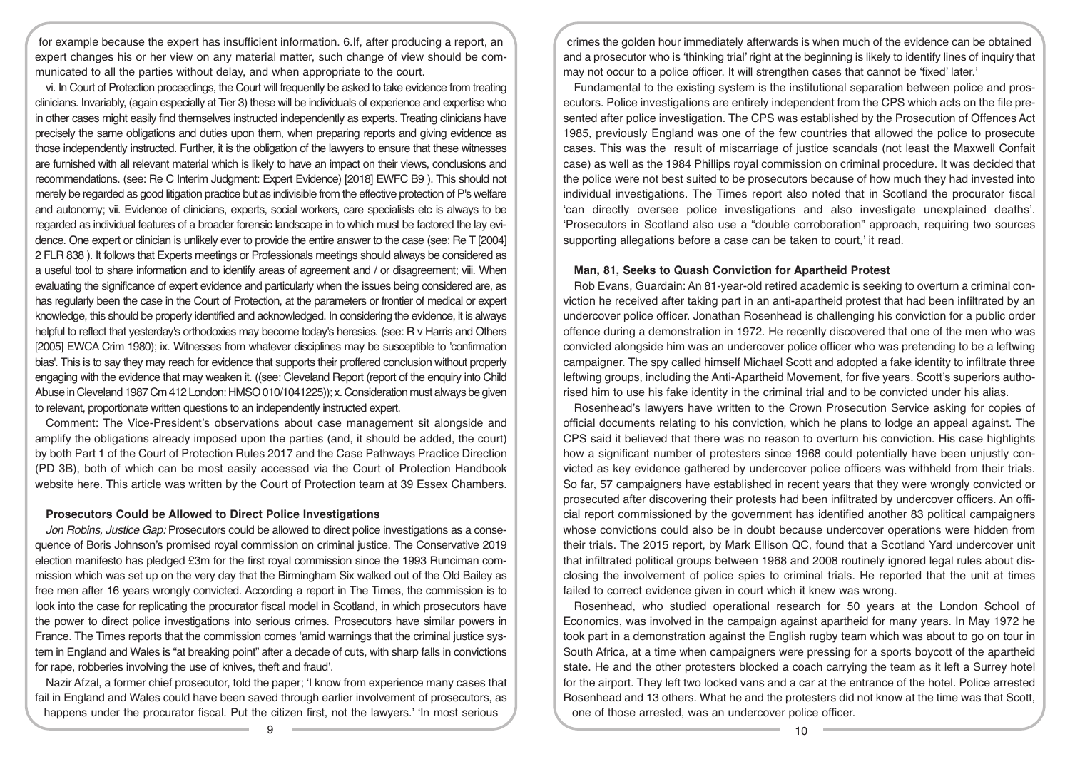for example because the expert has insufficient information. 6.If, after producing a report, an expert changes his or her view on any material matter, such change of view should be communicated to all the parties without delay, and when appropriate to the court.

vi. In Court of Protection proceedings, the Court will frequently be asked to take evidence from treating clinicians. Invariably, (again especially at Tier 3) these will be individuals of experience and expertise who in other cases might easily find themselves instructed independently as experts. Treating clinicians have precisely the same obligations and duties upon them, when preparing reports and giving evidence as those independently instructed. Further, it is the obligation of the lawyers to ensure that these witnesses are furnished with all relevant material which is likely to have an impact on their views, conclusions and recommendations. (see: Re C Interim Judgment: Expert Evidence) [2018] EWFC B9 ). This should not merely be regarded as good litigation practice but as indivisible from the effective protection of P's welfare and autonomy; vii. Evidence of clinicians, experts, social workers, care specialists etc is always to be regarded as individual features of a broader forensic landscape in to which must be factored the lay evidence. One expert or clinician is unlikely ever to provide the entire answer to the case (see: Re T [2004] 2 FLR 838 ). It follows that Experts meetings or Professionals meetings should always be considered as a useful tool to share information and to identify areas of agreement and / or disagreement; viii. When evaluating the significance of expert evidence and particularly when the issues being considered are, as has regularly been the case in the Court of Protection, at the parameters or frontier of medical or expert knowledge, this should be properly identified and acknowledged. In considering the evidence, it is always helpful to reflect that yesterday's orthodoxies may become today's heresies. (see: R v Harris and Others [2005] EWCA Crim 1980); ix. Witnesses from whatever disciplines may be susceptible to 'confirmation bias'. This is to say they may reach for evidence that supports their proffered conclusion without properly engaging with the evidence that may weaken it. ((see: Cleveland Report (report of the enquiry into Child Abuse in Cleveland 1987 Cm 412 London: HMSO 010/1041225)); x. Consideration must always be given to relevant, proportionate written questions to an independently instructed expert.

Comment: The Vice-President's observations about case management sit alongside and amplify the obligations already imposed upon the parties (and, it should be added, the court) by both Part 1 of the Court of Protection Rules 2017 and the Case Pathways Practice Direction (PD 3B), both of which can be most easily accessed via the Court of Protection Handbook website here. This article was written by the Court of Protection team at 39 Essex Chambers.

#### **Prosecutors Could be Allowed to Direct Police Investigations**

Jon Robins, Justice Gap: Prosecutors could be allowed to direct police investigations as a consequence of Boris Johnson's promised royal commission on criminal justice. The Conservative 2019 election manifesto has pledged £3m for the first royal commission since the 1993 Runciman commission which was set up on the very day that the Birmingham Six walked out of the Old Bailey as free men after 16 years wrongly convicted. According a report in The Times, the commission is to look into the case for replicating the procurator fiscal model in Scotland, in which prosecutors have the power to direct police investigations into serious crimes. Prosecutors have similar powers in France. The Times reports that the commission comes 'amid warnings that the criminal justice system in England and Wales is "at breaking point" after a decade of cuts, with sharp falls in convictions for rape, robberies involving the use of knives, theft and fraud'.

Nazir Afzal, a former chief prosecutor, told the paper; 'I know from experience many cases that fail in England and Wales could have been saved through earlier involvement of prosecutors, as happens under the procurator fiscal. Put the citizen first, not the lawyers.' 'In most serious

crimes the golden hour immediately afterwards is when much of the evidence can be obtained and a prosecutor who is 'thinking trial' right at the beginning is likely to identify lines of inquiry that may not occur to a police officer. It will strengthen cases that cannot be 'fixed' later.'

Fundamental to the existing system is the institutional separation between police and prosecutors. Police investigations are entirely independent from the CPS which acts on the file presented after police investigation. The CPS was established by the Prosecution of Offences Act 1985, previously England was one of the few countries that allowed the police to prosecute cases. This was the result of miscarriage of justice scandals (not least the Maxwell Confait case) as well as the 1984 Phillips royal commission on criminal procedure. It was decided that the police were not best suited to be prosecutors because of how much they had invested into individual investigations. The Times report also noted that in Scotland the procurator fiscal 'can directly oversee police investigations and also investigate unexplained deaths'. 'Prosecutors in Scotland also use a "double corroboration" approach, requiring two sources supporting allegations before a case can be taken to court,' it read.

#### **Man, 81, Seeks to Quash Conviction for Apartheid Protest**

Rob Evans, Guardain: An 81-year-old retired academic is seeking to overturn a criminal conviction he received after taking part in an anti-apartheid protest that had been infiltrated by an undercover police officer. Jonathan Rosenhead is challenging his conviction for a public order offence during a demonstration in 1972. He recently discovered that one of the men who was convicted alongside him was an undercover police officer who was pretending to be a leftwing campaigner. The spy called himself Michael Scott and adopted a fake identity to infiltrate three leftwing groups, including the Anti-Apartheid Movement, for five years. Scott's superiors authorised him to use his fake identity in the criminal trial and to be convicted under his alias.

Rosenhead's lawyers have written to the Crown Prosecution Service asking for copies of official documents relating to his conviction, which he plans to lodge an appeal against. The CPS said it believed that there was no reason to overturn his conviction. His case highlights how a significant number of protesters since 1968 could potentially have been unjustly convicted as key evidence gathered by undercover police officers was withheld from their trials. So far, 57 campaigners have established in recent years that they were wrongly convicted or prosecuted after discovering their protests had been infiltrated by undercover officers. An official report commissioned by the government has identified another 83 political campaigners whose convictions could also be in doubt because undercover operations were hidden from their trials. The 2015 report, by Mark Ellison QC, found that a Scotland Yard undercover unit that infiltrated political groups between 1968 and 2008 routinely ignored legal rules about disclosing the involvement of police spies to criminal trials. He reported that the unit at times failed to correct evidence given in court which it knew was wrong.

Rosenhead, who studied operational research for 50 years at the London School of Economics, was involved in the campaign against apartheid for many years. In May 1972 he took part in a demonstration against the English rugby team which was about to go on tour in South Africa, at a time when campaigners were pressing for a sports boycott of the apartheid state. He and the other protesters blocked a coach carrying the team as it left a Surrey hotel for the airport. They left two locked vans and a car at the entrance of the hotel. Police arrested Rosenhead and 13 others. What he and the protesters did not know at the time was that Scott, one of those arrested, was an undercover police officer.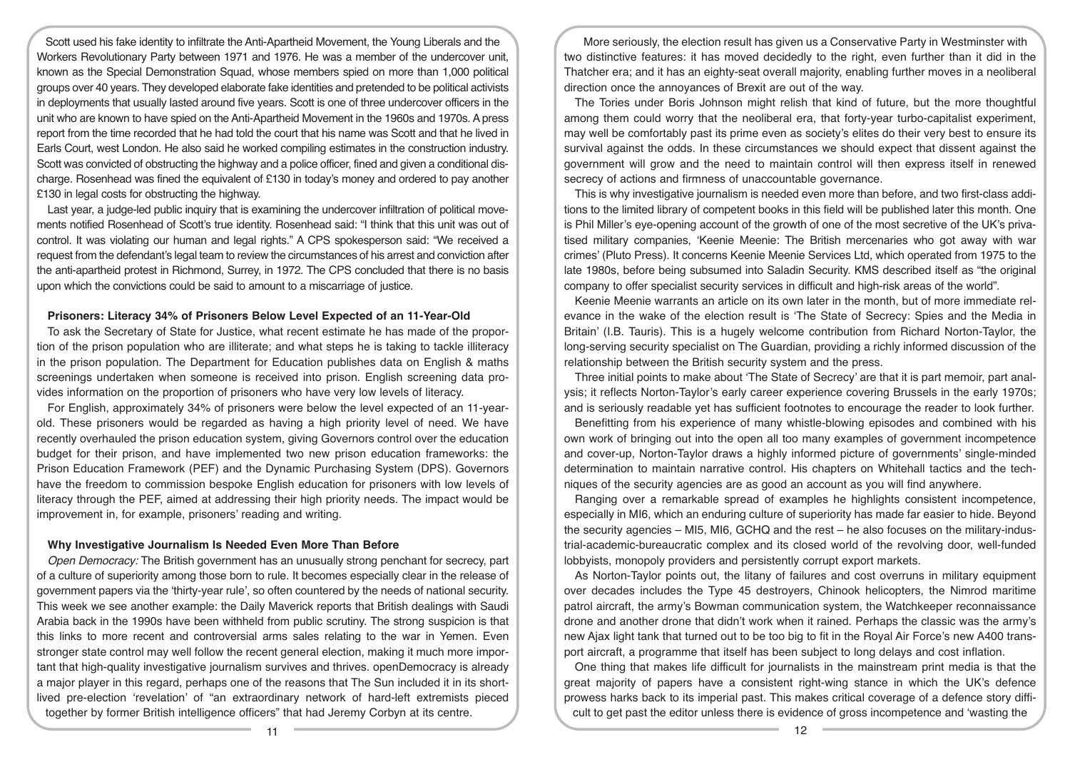Scott used his fake identity to infiltrate the Anti-Apartheid Movement, the Young Liberals and the Workers Revolutionary Party between 1971 and 1976. He was a member of the undercover unit, known as the Special Demonstration Squad, whose members spied on more than 1,000 political groups over 40 years. They developed elaborate fake identities and pretended to be political activists in deployments that usually lasted around five years. Scott is one of three undercover officers in the unit who are known to have spied on the Anti-Apartheid Movement in the 1960s and 1970s. A press report from the time recorded that he had told the court that his name was Scott and that he lived in Earls Court, west London. He also said he worked compiling estimates in the construction industry. Scott was convicted of obstructing the highway and a police officer, fined and given a conditional discharge. Rosenhead was fined the equivalent of £130 in today's money and ordered to pay another £130 in legal costs for obstructing the highway.

Last year, a judge-led public inquiry that is examining the undercover infiltration of political movements notified Rosenhead of Scott's true identity. Rosenhead said: "I think that this unit was out of control. It was violating our human and legal rights." A CPS spokesperson said: "We received a request from the defendant's legal team to review the circumstances of his arrest and conviction after the anti-apartheid protest in Richmond, Surrey, in 1972. The CPS concluded that there is no basis upon which the convictions could be said to amount to a miscarriage of justice.

## **Prisoners: Literacy 34% of Prisoners Below Level Expected of an 11-Year-Old**

To ask the Secretary of State for Justice, what recent estimate he has made of the proportion of the prison population who are illiterate; and what steps he is taking to tackle illiteracy in the prison population. The Department for Education publishes data on English & maths screenings undertaken when someone is received into prison. English screening data provides information on the proportion of prisoners who have very low levels of literacy.

For English, approximately 34% of prisoners were below the level expected of an 11-yearold. These prisoners would be regarded as having a high priority level of need. We have recently overhauled the prison education system, giving Governors control over the education budget for their prison, and have implemented two new prison education frameworks: the Prison Education Framework (PEF) and the Dynamic Purchasing System (DPS). Governors have the freedom to commission bespoke English education for prisoners with low levels of literacy through the PEF, aimed at addressing their high priority needs. The impact would be improvement in, for example, prisoners' reading and writing.

#### **Why Investigative Journalism Is Needed Even More Than Before**

Open Democracy: The British government has an unusually strong penchant for secrecy, part of a culture of superiority among those born to rule. It becomes especially clear in the release of government papers via the 'thirty-year rule', so often countered by the needs of national security. This week we see another example: the Daily Maverick reports that British dealings with Saudi Arabia back in the 1990s have been withheld from public scrutiny. The strong suspicion is that this links to more recent and controversial arms sales relating to the war in Yemen. Even stronger state control may well follow the recent general election, making it much more important that high-quality investigative journalism survives and thrives. openDemocracy is already a major player in this regard, perhaps one of the reasons that The Sun included it in its shortlived pre-election 'revelation' of "an extraordinary network of hard-left extremists pieced together by former British intelligence officers" that had Jeremy Corbyn at its centre.

More seriously, the election result has given us a Conservative Party in Westminster with two distinctive features: it has moved decidedly to the right, even further than it did in the Thatcher era; and it has an eighty-seat overall majority, enabling further moves in a neoliberal direction once the annoyances of Brexit are out of the way.

The Tories under Boris Johnson might relish that kind of future, but the more thoughtful among them could worry that the neoliberal era, that forty-year turbo-capitalist experiment, may well be comfortably past its prime even as society's elites do their very best to ensure its survival against the odds. In these circumstances we should expect that dissent against the government will grow and the need to maintain control will then express itself in renewed secrecy of actions and firmness of unaccountable governance.

This is why investigative journalism is needed even more than before, and two first-class additions to the limited library of competent books in this field will be published later this month. One is Phil Miller's eye-opening account of the growth of one of the most secretive of the UK's privatised military companies, 'Keenie Meenie: The British mercenaries who got away with war crimes' (Pluto Press). It concerns Keenie Meenie Services Ltd, which operated from 1975 to the late 1980s, before being subsumed into Saladin Security. KMS described itself as "the original company to offer specialist security services in difficult and high-risk areas of the world".

Keenie Meenie warrants an article on its own later in the month, but of more immediate relevance in the wake of the election result is 'The State of Secrecy: Spies and the Media in Britain' (I.B. Tauris). This is a hugely welcome contribution from Richard Norton-Taylor, the long-serving security specialist on The Guardian, providing a richly informed discussion of the relationship between the British security system and the press.

Three initial points to make about 'The State of Secrecy' are that it is part memoir, part analysis; it reflects Norton-Taylor's early career experience covering Brussels in the early 1970s; and is seriously readable yet has sufficient footnotes to encourage the reader to look further.

Benefitting from his experience of many whistle-blowing episodes and combined with his own work of bringing out into the open all too many examples of government incompetence and cover-up, Norton-Taylor draws a highly informed picture of governments' single-minded determination to maintain narrative control. His chapters on Whitehall tactics and the techniques of the security agencies are as good an account as you will find anywhere.

Ranging over a remarkable spread of examples he highlights consistent incompetence, especially in MI6, which an enduring culture of superiority has made far easier to hide. Beyond the security agencies – MI5, MI6, GCHQ and the rest – he also focuses on the military-industrial-academic-bureaucratic complex and its closed world of the revolving door, well-funded lobbyists, monopoly providers and persistently corrupt export markets.

As Norton-Taylor points out, the litany of failures and cost overruns in military equipment over decades includes the Type 45 destroyers, Chinook helicopters, the Nimrod maritime patrol aircraft, the army's Bowman communication system, the Watchkeeper reconnaissance drone and another drone that didn't work when it rained. Perhaps the classic was the army's new Ajax light tank that turned out to be too big to fit in the Royal Air Force's new A400 transport aircraft, a programme that itself has been subject to long delays and cost inflation.

One thing that makes life difficult for journalists in the mainstream print media is that the great majority of papers have a consistent right-wing stance in which the UK's defence prowess harks back to its imperial past. This makes critical coverage of a defence story difficult to get past the editor unless there is evidence of gross incompetence and 'wasting the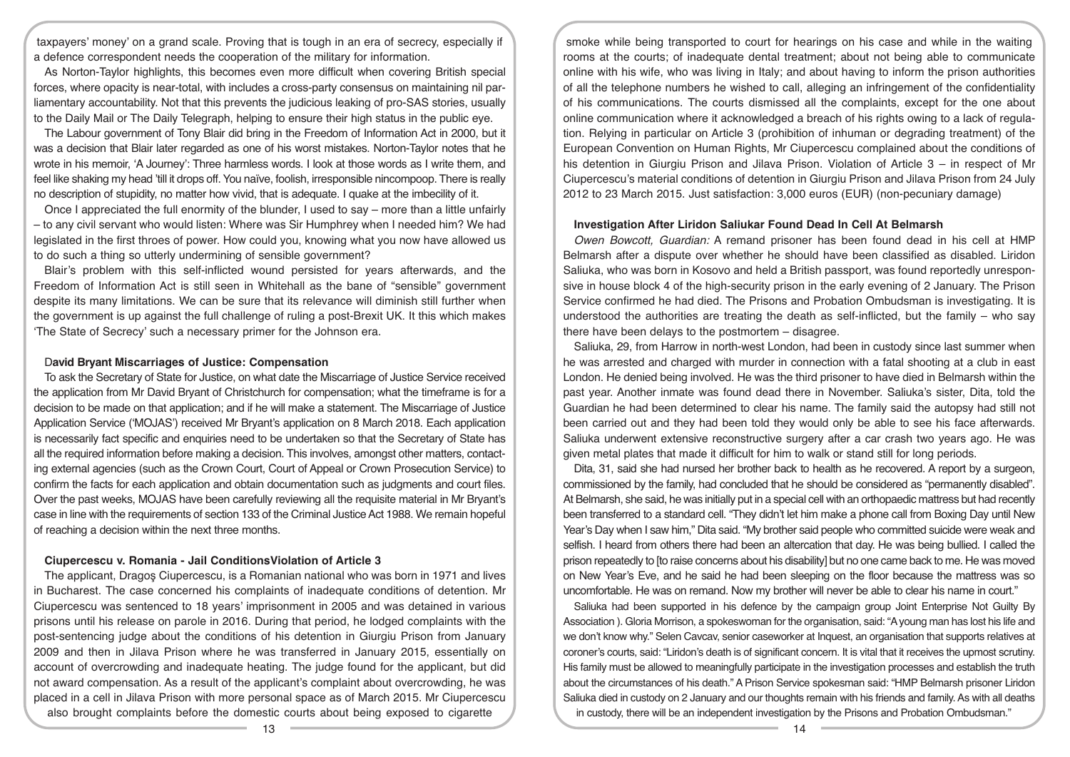taxpayers' money' on a grand scale. Proving that is tough in an era of secrecy, especially if a defence correspondent needs the cooperation of the military for information.

As Norton-Taylor highlights, this becomes even more difficult when covering British special forces, where opacity is near-total, with includes a cross-party consensus on maintaining nil parliamentary accountability. Not that this prevents the judicious leaking of pro-SAS stories, usually to the Daily Mail or The Daily Telegraph, helping to ensure their high status in the public eye.

The Labour government of Tony Blair did bring in the Freedom of Information Act in 2000, but it was a decision that Blair later regarded as one of his worst mistakes. Norton-Taylor notes that he wrote in his memoir, 'A Journey': Three harmless words. I look at those words as I write them, and feel like shaking my head 'till it drops off. You naïve, foolish, irresponsible nincompoop. There is really no description of stupidity, no matter how vivid, that is adequate. I quake at the imbecility of it.

Once I appreciated the full enormity of the blunder, I used to say – more than a little unfairly – to any civil servant who would listen: Where was Sir Humphrey when I needed him? We had legislated in the first throes of power. How could you, knowing what you now have allowed us to do such a thing so utterly undermining of sensible government?

Blair's problem with this self-inflicted wound persisted for years afterwards, and the Freedom of Information Act is still seen in Whitehall as the bane of "sensible" government despite its many limitations. We can be sure that its relevance will diminish still further when the government is up against the full challenge of ruling a post-Brexit UK. It this which makes 'The State of Secrecy' such a necessary primer for the Johnson era.

#### D**avid Bryant Miscarriages of Justice: Compensation**

To ask the Secretary of State for Justice, on what date the Miscarriage of Justice Service received the application from Mr David Bryant of Christchurch for compensation; what the timeframe is for a decision to be made on that application; and if he will make a statement. The Miscarriage of Justice Application Service ('MOJAS') received Mr Bryant's application on 8 March 2018. Each application is necessarily fact specific and enquiries need to be undertaken so that the Secretary of State has all the required information before making a decision. This involves, amongst other matters, contacting external agencies (such as the Crown Court, Court of Appeal or Crown Prosecution Service) to confirm the facts for each application and obtain documentation such as judgments and court files. Over the past weeks, MOJAS have been carefully reviewing all the requisite material in Mr Bryant's case in line with the requirements of section 133 of the Criminal Justice Act 1988. We remain hopeful of reaching a decision within the next three months.

#### **Ciupercescu v. Romania - Jail ConditionsViolation of Article 3**

The applicant, Dragoş Ciupercescu, is a Romanian national who was born in 1971 and lives in Bucharest. The case concerned his complaints of inadequate conditions of detention. Mr Ciupercescu was sentenced to 18 years' imprisonment in 2005 and was detained in various prisons until his release on parole in 2016. During that period, he lodged complaints with the post-sentencing judge about the conditions of his detention in Giurgiu Prison from January 2009 and then in Jilava Prison where he was transferred in January 2015, essentially on account of overcrowding and inadequate heating. The judge found for the applicant, but did not award compensation. As a result of the applicant's complaint about overcrowding, he was placed in a cell in Jilava Prison with more personal space as of March 2015. Mr Ciupercescu also brought complaints before the domestic courts about being exposed to cigarette

smoke while being transported to court for hearings on his case and while in the waiting rooms at the courts; of inadequate dental treatment; about not being able to communicate online with his wife, who was living in Italy; and about having to inform the prison authorities of all the telephone numbers he wished to call, alleging an infringement of the confidentiality of his communications. The courts dismissed all the complaints, except for the one about online communication where it acknowledged a breach of his rights owing to a lack of regulation. Relying in particular on Article 3 (prohibition of inhuman or degrading treatment) of the European Convention on Human Rights, Mr Ciupercescu complained about the conditions of his detention in Giurgiu Prison and Jilava Prison. Violation of Article 3 – in respect of Mr Ciupercescu's material conditions of detention in Giurgiu Prison and Jilava Prison from 24 July 2012 to 23 March 2015. Just satisfaction: 3,000 euros (EUR) (non-pecuniary damage)

### **Investigation After Liridon Saliukar Found Dead In Cell At Belmarsh**

Owen Bowcott, Guardian: A remand prisoner has been found dead in his cell at HMP Belmarsh after a dispute over whether he should have been classified as disabled. Liridon Saliuka, who was born in Kosovo and held a British passport, was found reportedly unresponsive in house block 4 of the high-security prison in the early evening of 2 January. The Prison Service confirmed he had died. The Prisons and Probation Ombudsman is investigating. It is understood the authorities are treating the death as self-inflicted, but the family  $-$  who say there have been delays to the postmortem – disagree.

Saliuka, 29, from Harrow in north-west London, had been in custody since last summer when he was arrested and charged with murder in connection with a fatal shooting at a club in east London. He denied being involved. He was the third prisoner to have died in Belmarsh within the past year. Another inmate was found dead there in November. Saliuka's sister, Dita, told the Guardian he had been determined to clear his name. The family said the autopsy had still not been carried out and they had been told they would only be able to see his face afterwards. Saliuka underwent extensive reconstructive surgery after a car crash two years ago. He was given metal plates that made it difficult for him to walk or stand still for long periods.

Dita, 31, said she had nursed her brother back to health as he recovered. A report by a surgeon, commissioned by the family, had concluded that he should be considered as "permanently disabled". At Belmarsh, she said, he was initially put in a special cell with an orthopaedic mattress but had recently been transferred to a standard cell. "They didn't let him make a phone call from Boxing Day until New Year's Day when I saw him," Dita said. "My brother said people who committed suicide were weak and selfish. I heard from others there had been an altercation that day. He was being bullied. I called the prison repeatedly to [to raise concerns about his disability] but no one came back to me. He was moved on New Year's Eve, and he said he had been sleeping on the floor because the mattress was so uncomfortable. He was on remand. Now my brother will never be able to clear his name in court."

Saliuka had been supported in his defence by the campaign group Joint Enterprise Not Guilty By Association ). Gloria Morrison, a spokeswoman for the organisation, said: "A young man has lost his life and we don't know why." Selen Cavcav, senior caseworker at Inquest, an organisation that supports relatives at coroner's courts, said: "Liridon's death is of significant concern. It is vital that it receives the upmost scrutiny. His family must be allowed to meaningfully participate in the investigation processes and establish the truth about the circumstances of his death." A Prison Service spokesman said: "HMP Belmarsh prisoner Liridon Saliuka died in custody on 2 January and our thoughts remain with his friends and family. As with all deaths in custody, there will be an independent investigation by the Prisons and Probation Ombudsman."